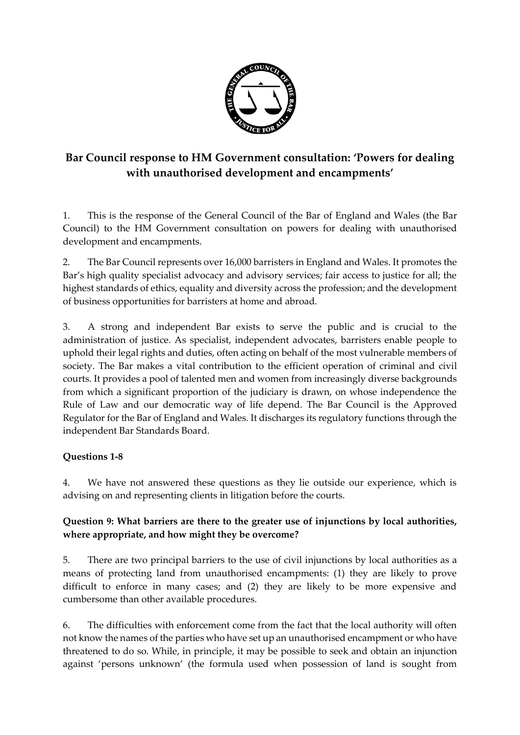

# **Bar Council response to HM Government consultation: 'Powers for dealing with unauthorised development and encampments'**

1. This is the response of the General Council of the Bar of England and Wales (the Bar Council) to the HM Government consultation on powers for dealing with unauthorised development and encampments.

2. The Bar Council represents over 16,000 barristers in England and Wales. It promotes the Bar's high quality specialist advocacy and advisory services; fair access to justice for all; the highest standards of ethics, equality and diversity across the profession; and the development of business opportunities for barristers at home and abroad.

3. A strong and independent Bar exists to serve the public and is crucial to the administration of justice. As specialist, independent advocates, barristers enable people to uphold their legal rights and duties, often acting on behalf of the most vulnerable members of society. The Bar makes a vital contribution to the efficient operation of criminal and civil courts. It provides a pool of talented men and women from increasingly diverse backgrounds from which a significant proportion of the judiciary is drawn, on whose independence the Rule of Law and our democratic way of life depend. The Bar Council is the Approved Regulator for the Bar of England and Wales. It discharges its regulatory functions through the independent Bar Standards Board.

#### **Questions 1-8**

4. We have not answered these questions as they lie outside our experience, which is advising on and representing clients in litigation before the courts.

#### **Question 9: What barriers are there to the greater use of injunctions by local authorities, where appropriate, and how might they be overcome?**

5. There are two principal barriers to the use of civil injunctions by local authorities as a means of protecting land from unauthorised encampments: (1) they are likely to prove difficult to enforce in many cases; and (2) they are likely to be more expensive and cumbersome than other available procedures.

6. The difficulties with enforcement come from the fact that the local authority will often not know the names of the parties who have set up an unauthorised encampment or who have threatened to do so. While, in principle, it may be possible to seek and obtain an injunction against 'persons unknown' (the formula used when possession of land is sought from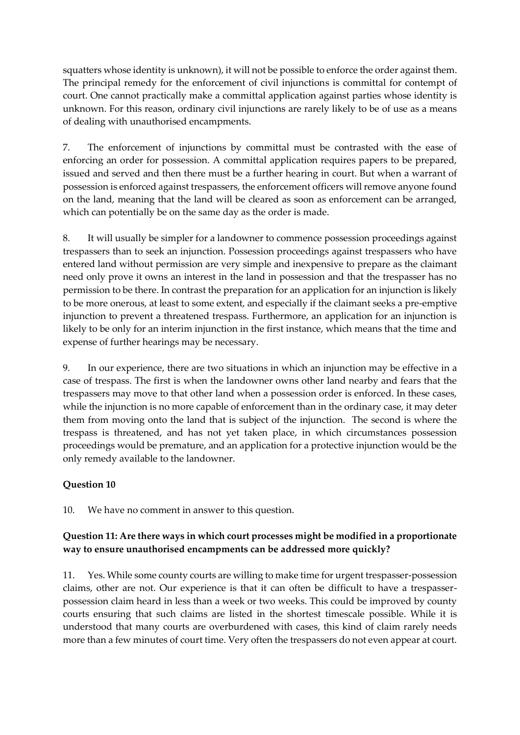squatters whose identity is unknown), it will not be possible to enforce the order against them. The principal remedy for the enforcement of civil injunctions is committal for contempt of court. One cannot practically make a committal application against parties whose identity is unknown. For this reason, ordinary civil injunctions are rarely likely to be of use as a means of dealing with unauthorised encampments.

7. The enforcement of injunctions by committal must be contrasted with the ease of enforcing an order for possession. A committal application requires papers to be prepared, issued and served and then there must be a further hearing in court. But when a warrant of possession is enforced against trespassers, the enforcement officers will remove anyone found on the land, meaning that the land will be cleared as soon as enforcement can be arranged, which can potentially be on the same day as the order is made.

8. It will usually be simpler for a landowner to commence possession proceedings against trespassers than to seek an injunction. Possession proceedings against trespassers who have entered land without permission are very simple and inexpensive to prepare as the claimant need only prove it owns an interest in the land in possession and that the trespasser has no permission to be there. In contrast the preparation for an application for an injunction is likely to be more onerous, at least to some extent, and especially if the claimant seeks a pre-emptive injunction to prevent a threatened trespass. Furthermore, an application for an injunction is likely to be only for an interim injunction in the first instance, which means that the time and expense of further hearings may be necessary.

9. In our experience, there are two situations in which an injunction may be effective in a case of trespass. The first is when the landowner owns other land nearby and fears that the trespassers may move to that other land when a possession order is enforced. In these cases, while the injunction is no more capable of enforcement than in the ordinary case, it may deter them from moving onto the land that is subject of the injunction. The second is where the trespass is threatened, and has not yet taken place, in which circumstances possession proceedings would be premature, and an application for a protective injunction would be the only remedy available to the landowner.

#### **Question 10**

10. We have no comment in answer to this question.

#### **Question 11: Are there ways in which court processes might be modified in a proportionate way to ensure unauthorised encampments can be addressed more quickly?**

11. Yes. While some county courts are willing to make time for urgent trespasser-possession claims, other are not. Our experience is that it can often be difficult to have a trespasserpossession claim heard in less than a week or two weeks. This could be improved by county courts ensuring that such claims are listed in the shortest timescale possible. While it is understood that many courts are overburdened with cases, this kind of claim rarely needs more than a few minutes of court time. Very often the trespassers do not even appear at court.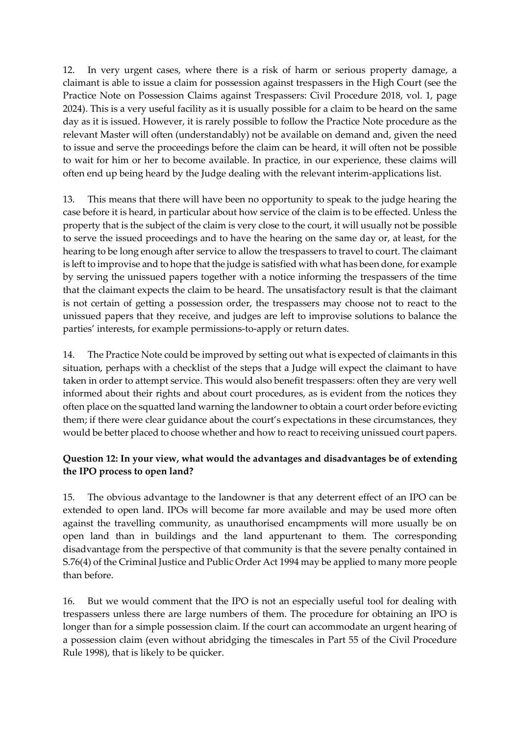12. In very urgent cases, where there is a risk of harm or serious property damage, a claimant is able to issue a claim for possession against trespassers in the High Court (see the Practice Note on Possession Claims against Trespassers: Civil Procedure 2018, vol. 1, page 2024). This is a very useful facility as it is usually possible for a claim to be heard on the same day as it is issued. However, it is rarely possible to follow the Practice Note procedure as the relevant Master will often (understandably) not be available on demand and, given the need to issue and serve the proceedings before the claim can be heard, it will often not be possible to wait for him or her to become available. In practice, in our experience, these claims will often end up being heard by the Judge dealing with the relevant interim-applications list.

13. This means that there will have been no opportunity to speak to the judge hearing the case before it is heard, in particular about how service of the claim is to be effected. Unless the property that is the subject of the claim is very close to the court, it will usually not be possible to serve the issued proceedings and to have the hearing on the same day or, at least, for the hearing to be long enough after service to allow the trespassers to travel to court. The claimant is left to improvise and to hope that the judge is satisfied with what has been done, for example by serving the unissued papers together with a notice informing the trespassers of the time that the claimant expects the claim to be heard. The unsatisfactory result is that the claimant is not certain of getting a possession order, the trespassers may choose not to react to the unissued papers that they receive, and judges are left to improvise solutions to balance the parties' interests, for example permissions-to-apply or return dates.

14. The Practice Note could be improved by setting out what is expected of claimants in this situation, perhaps with a checklist of the steps that a Judge will expect the claimant to have taken in order to attempt service. This would also benefit trespassers: often they are very well informed about their rights and about court procedures, as is evident from the notices they often place on the squatted land warning the landowner to obtain a court order before evicting them; if there were clear guidance about the court's expectations in these circumstances, they would be better placed to choose whether and how to react to receiving unissued court papers.

#### **Question 12: In your view, what would the advantages and disadvantages be of extending the IPO process to open land?**

15. The obvious advantage to the landowner is that any deterrent effect of an IPO can be extended to open land. IPOs will become far more available and may be used more often against the travelling community, as unauthorised encampments will more usually be on open land than in buildings and the land appurtenant to them. The corresponding disadvantage from the perspective of that community is that the severe penalty contained in S.76(4) of the Criminal Justice and Public Order Act 1994 may be applied to many more people than before.

16. But we would comment that the IPO is not an especially useful tool for dealing with trespassers unless there are large numbers of them. The procedure for obtaining an IPO is longer than for a simple possession claim. If the court can accommodate an urgent hearing of a possession claim (even without abridging the timescales in Part 55 of the Civil Procedure Rule 1998), that is likely to be quicker.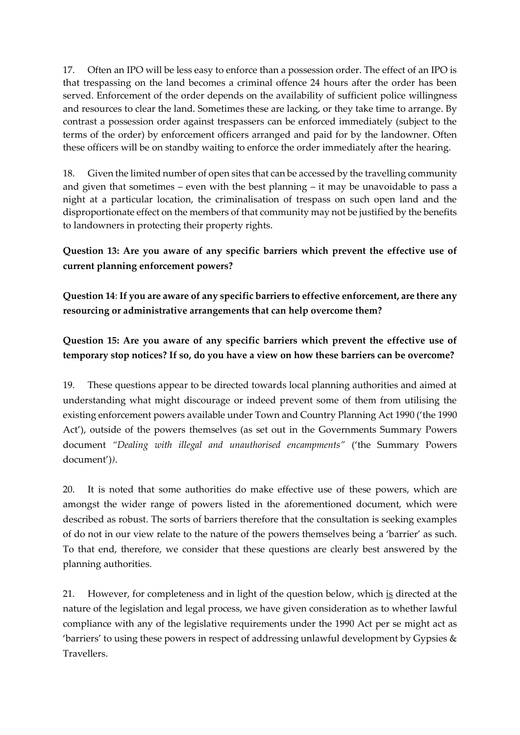17. Often an IPO will be less easy to enforce than a possession order. The effect of an IPO is that trespassing on the land becomes a criminal offence 24 hours after the order has been served. Enforcement of the order depends on the availability of sufficient police willingness and resources to clear the land. Sometimes these are lacking, or they take time to arrange. By contrast a possession order against trespassers can be enforced immediately (subject to the terms of the order) by enforcement officers arranged and paid for by the landowner. Often these officers will be on standby waiting to enforce the order immediately after the hearing.

18. Given the limited number of open sites that can be accessed by the travelling community and given that sometimes – even with the best planning – it may be unavoidable to pass a night at a particular location, the criminalisation of trespass on such open land and the disproportionate effect on the members of that community may not be justified by the benefits to landowners in protecting their property rights.

#### **Question 13: Are you aware of any specific barriers which prevent the effective use of current planning enforcement powers?**

**Question 14**: **If you are aware of any specific barriers to effective enforcement, are there any resourcing or administrative arrangements that can help overcome them?** 

# **Question 15: Are you aware of any specific barriers which prevent the effective use of temporary stop notices? If so, do you have a view on how these barriers can be overcome?**

19. These questions appear to be directed towards local planning authorities and aimed at understanding what might discourage or indeed prevent some of them from utilising the existing enforcement powers available under Town and Country Planning Act 1990 ('the 1990 Act'), outside of the powers themselves (as set out in the Governments Summary Powers document *"Dealing with illegal and unauthorised encampments"* ('the Summary Powers document')*)*.

20. It is noted that some authorities do make effective use of these powers, which are amongst the wider range of powers listed in the aforementioned document, which were described as robust. The sorts of barriers therefore that the consultation is seeking examples of do not in our view relate to the nature of the powers themselves being a 'barrier' as such. To that end, therefore, we consider that these questions are clearly best answered by the planning authorities.

21. However, for completeness and in light of the question below, which is directed at the nature of the legislation and legal process, we have given consideration as to whether lawful compliance with any of the legislative requirements under the 1990 Act per se might act as 'barriers' to using these powers in respect of addressing unlawful development by Gypsies  $\&$ Travellers.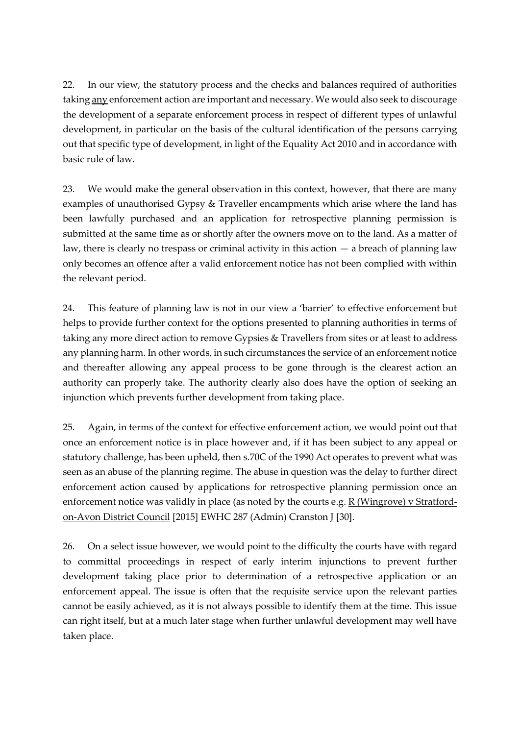22. In our view, the statutory process and the checks and balances required of authorities taking any enforcement action are important and necessary. We would also seek to discourage the development of a separate enforcement process in respect of different types of unlawful development, in particular on the basis of the cultural identification of the persons carrying out that specific type of development, in light of the Equality Act 2010 and in accordance with basic rule of law.

23. We would make the general observation in this context, however, that there are many examples of unauthorised Gypsy & Traveller encampments which arise where the land has been lawfully purchased and an application for retrospective planning permission is submitted at the same time as or shortly after the owners move on to the land. As a matter of law, there is clearly no trespass or criminal activity in this action  $-$  a breach of planning law only becomes an offence after a valid enforcement notice has not been complied with within the relevant period.

24. This feature of planning law is not in our view a 'barrier' to effective enforcement but helps to provide further context for the options presented to planning authorities in terms of taking any more direct action to remove Gypsies & Travellers from sites or at least to address any planning harm. In other words, in such circumstances the service of an enforcement notice and thereafter allowing any appeal process to be gone through is the clearest action an authority can properly take. The authority clearly also does have the option of seeking an injunction which prevents further development from taking place.

25. Again, in terms of the context for effective enforcement action, we would point out that once an enforcement notice is in place however and, if it has been subject to any appeal or statutory challenge, has been upheld, then s.70C of the 1990 Act operates to prevent what was seen as an abuse of the planning regime. The abuse in question was the delay to further direct enforcement action caused by applications for retrospective planning permission once an enforcement notice was validly in place (as noted by the courts e.g. R (Wingrove) v Stratfordon-Avon District Council [2015] EWHC 287 (Admin) Cranston J [30].

26. On a select issue however, we would point to the difficulty the courts have with regard to committal proceedings in respect of early interim injunctions to prevent further development taking place prior to determination of a retrospective application or an enforcement appeal. The issue is often that the requisite service upon the relevant parties cannot be easily achieved, as it is not always possible to identify them at the time. This issue can right itself, but at a much later stage when further unlawful development may well have taken place.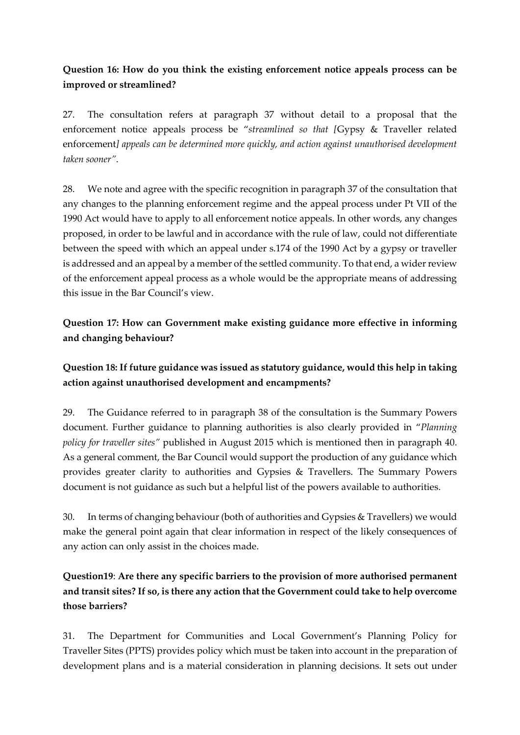## **Question 16: How do you think the existing enforcement notice appeals process can be improved or streamlined?**

27. The consultation refers at paragraph 37 without detail to a proposal that the enforcement notice appeals process be "*streamlined so that [*Gypsy & Traveller related enforcement*] appeals can be determined more quickly, and action against unauthorised development taken sooner"*.

28. We note and agree with the specific recognition in paragraph 37 of the consultation that any changes to the planning enforcement regime and the appeal process under Pt VII of the 1990 Act would have to apply to all enforcement notice appeals. In other words, any changes proposed, in order to be lawful and in accordance with the rule of law, could not differentiate between the speed with which an appeal under s.174 of the 1990 Act by a gypsy or traveller is addressed and an appeal by a member of the settled community. To that end, a wider review of the enforcement appeal process as a whole would be the appropriate means of addressing this issue in the Bar Council's view.

### **Question 17: How can Government make existing guidance more effective in informing and changing behaviour?**

# **Question 18: If future guidance was issued as statutory guidance, would this help in taking action against unauthorised development and encampments?**

29. The Guidance referred to in paragraph 38 of the consultation is the Summary Powers document. Further guidance to planning authorities is also clearly provided in "*Planning policy for traveller sites"* published in August 2015 which is mentioned then in paragraph 40. As a general comment, the Bar Council would support the production of any guidance which provides greater clarity to authorities and Gypsies & Travellers. The Summary Powers document is not guidance as such but a helpful list of the powers available to authorities.

30. In terms of changing behaviour (both of authorities and Gypsies & Travellers) we would make the general point again that clear information in respect of the likely consequences of any action can only assist in the choices made.

# **Question19**: **Are there any specific barriers to the provision of more authorised permanent and transit sites? If so, is there any action that the Government could take to help overcome those barriers?**

31. The Department for Communities and Local Government's Planning Policy for Traveller Sites (PPTS) provides policy which must be taken into account in the preparation of development plans and is a material consideration in planning decisions. It sets out under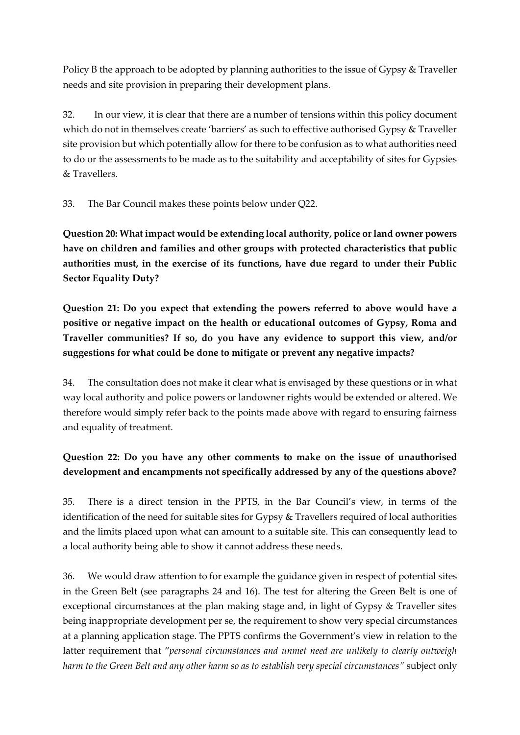Policy B the approach to be adopted by planning authorities to the issue of Gypsy & Traveller needs and site provision in preparing their development plans.

32. In our view, it is clear that there are a number of tensions within this policy document which do not in themselves create 'barriers' as such to effective authorised Gypsy & Traveller site provision but which potentially allow for there to be confusion as to what authorities need to do or the assessments to be made as to the suitability and acceptability of sites for Gypsies & Travellers.

33. The Bar Council makes these points below under Q22.

**Question 20: What impact would be extending local authority, police or land owner powers have on children and families and other groups with protected characteristics that public authorities must, in the exercise of its functions, have due regard to under their Public Sector Equality Duty?**

**Question 21: Do you expect that extending the powers referred to above would have a positive or negative impact on the health or educational outcomes of Gypsy, Roma and Traveller communities? If so, do you have any evidence to support this view, and/or suggestions for what could be done to mitigate or prevent any negative impacts?**

34. The consultation does not make it clear what is envisaged by these questions or in what way local authority and police powers or landowner rights would be extended or altered. We therefore would simply refer back to the points made above with regard to ensuring fairness and equality of treatment.

# **Question 22: Do you have any other comments to make on the issue of unauthorised development and encampments not specifically addressed by any of the questions above?**

35. There is a direct tension in the PPTS, in the Bar Council's view, in terms of the identification of the need for suitable sites for Gypsy & Travellers required of local authorities and the limits placed upon what can amount to a suitable site. This can consequently lead to a local authority being able to show it cannot address these needs.

36. We would draw attention to for example the guidance given in respect of potential sites in the Green Belt (see paragraphs 24 and 16). The test for altering the Green Belt is one of exceptional circumstances at the plan making stage and, in light of Gypsy & Traveller sites being inappropriate development per se, the requirement to show very special circumstances at a planning application stage. The PPTS confirms the Government's view in relation to the latter requirement that "*personal circumstances and unmet need are unlikely to clearly outweigh harm to the Green Belt and any other harm so as to establish very special circumstances"* subject only